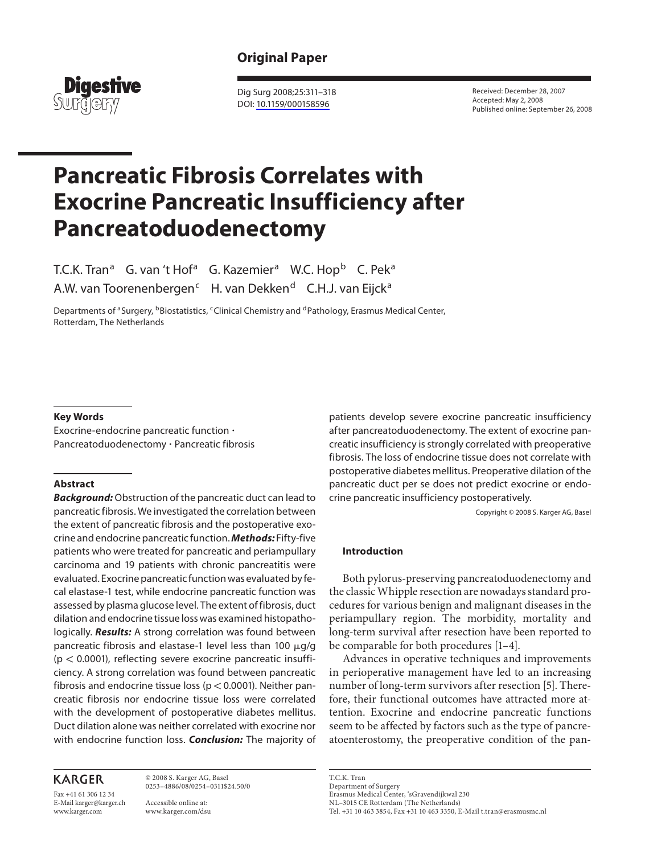# **Original Paper**



 Dig Surg 2008;25:311–318 DOI: [10.1159/000158596](http://dx.doi.org/10.1159%2F000158596)

 Received: December 28, 2007 Accepted: May 2, 2008 Published online: September 26, 2008

# **Pancreatic Fibrosis Correlates with Exocrine Pancreatic Insufficiency after Pancreatoduodenectomy**

T.C.K. Tran<sup>a</sup> G. van 't Hof<sup>a</sup> G. Kazemier<sup>a</sup> W.C. Hop<sup>b</sup> C. Pek<sup>a</sup> A.W. van Toorenenbergen<sup>c</sup> H. van Dekken<sup>d</sup> C.H.J. van Eijck<sup>a</sup>

Departments of <sup>a</sup> Surgery, <sup>b</sup> Biostatistics, <sup>c</sup> Clinical Chemistry and <sup>d</sup> Pathology, Erasmus Medical Center, Rotterdam, The Netherlands

#### **Key Words**

Exocrine-endocrine pancreatic function  $\cdot$ Pancreatoduodenectomy - Pancreatic fibrosis

#### **Abstract**

*Background:* Obstruction of the pancreatic duct can lead to pancreatic fibrosis. We investigated the correlation between the extent of pancreatic fibrosis and the postoperative exocrine and endocrine pancreatic function. *Methods:* Fifty-five patients who were treated for pancreatic and periampullary carcinoma and 19 patients with chronic pancreatitis were evaluated. Exocrine pancreatic function was evaluated by fecal elastase-1 test, while endocrine pancreatic function was assessed by plasma glucose level. The extent of fibrosis, duct dilation and endocrine tissue loss was examined histopathologically. *Results:* A strong correlation was found between pancreatic fibrosis and elastase-1 level less than 100  $\mu$ g/g  $(p < 0.0001)$ , reflecting severe exocrine pancreatic insufficiency. A strong correlation was found between pancreatic fibrosis and endocrine tissue loss ( $p < 0.0001$ ). Neither pancreatic fibrosis nor endocrine tissue loss were correlated with the development of postoperative diabetes mellitus. Duct dilation alone was neither correlated with exocrine nor with endocrine function loss. *Conclusion:* The majority of

# **KARGER**

Fax +41 61 306 12 34 E-Mail karger@karger.ch www.karger.com

 © 2008 S. Karger AG, Basel 0253–4886/08/0254–0311\$24.50/0

 Accessible online at: www.karger.com/dsu patients develop severe exocrine pancreatic insufficiency after pancreatoduodenectomy. The extent of exocrine pancreatic insufficiency is strongly correlated with preoperative fibrosis. The loss of endocrine tissue does not correlate with postoperative diabetes mellitus. Preoperative dilation of the pancreatic duct per se does not predict exocrine or endocrine pancreatic insufficiency postoperatively.

Copyright © 2008 S. Karger AG, Basel

#### **Introduction**

Both pylorus-preserving pancreatoduodenectomy and the classic Whipple resection are nowadays standard procedures for various benign and malignant diseases in the periampullary region. The morbidity, mortality and long-term survival after resection have been reported to be comparable for both procedures [1–4] .

 Advances in operative techniques and improvements in perioperative management have led to an increasing number of long-term survivors after resection [5]. Therefore, their functional outcomes have attracted more attention. Exocrine and endocrine pancreatic functions seem to be affected by factors such as the type of pancreatoenterostomy, the preoperative condition of the pan-

 T.C.K. Tran Department of Surgery Erasmus Medical Center, 'sGravendijkwal 230 NL–3015 CE Rotterdam (The Netherlands) Tel. +31 10 463 3854, Fax +31 10 463 3350, E-Mail t.tran@erasmusmc.nl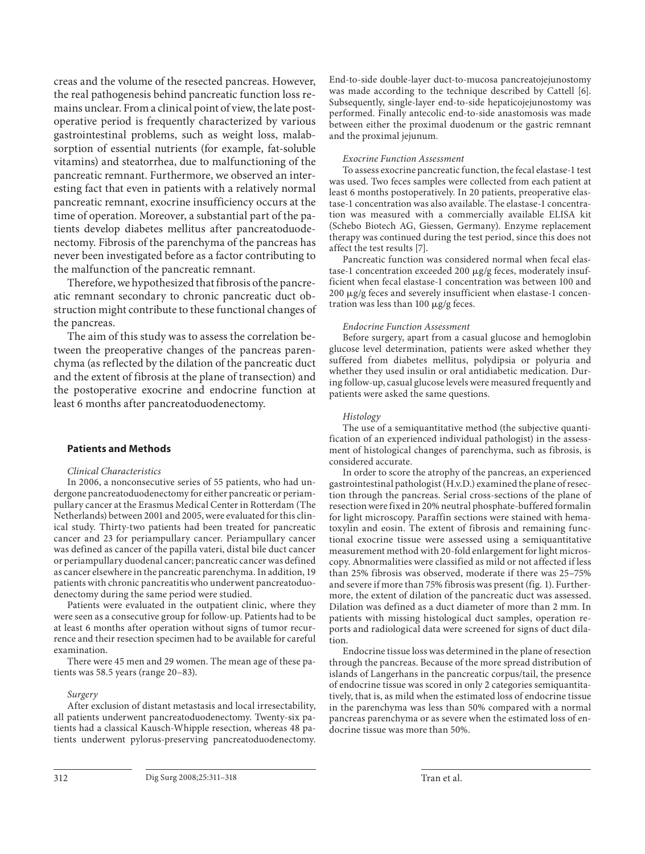creas and the volume of the resected pancreas. However, the real pathogenesis behind pancreatic function loss remains unclear. From a clinical point of view, the late postoperative period is frequently characterized by various gastrointestinal problems, such as weight loss, malabsorption of essential nutrients (for example, fat-soluble vitamins) and steatorrhea, due to malfunctioning of the pancreatic remnant. Furthermore, we observed an interesting fact that even in patients with a relatively normal pancreatic remnant, exocrine insufficiency occurs at the time of operation. Moreover, a substantial part of the patients develop diabetes mellitus after pancreatoduodenectomy. Fibrosis of the parenchyma of the pancreas has never been investigated before as a factor contributing to the malfunction of the pancreatic remnant.

 Therefore, we hypothesized that fibrosis of the pancreatic remnant secondary to chronic pancreatic duct obstruction might contribute to these functional changes of the pancreas.

 The aim of this study was to assess the correlation between the preoperative changes of the pancreas parenchyma (as reflected by the dilation of the pancreatic duct and the extent of fibrosis at the plane of transection) and the postoperative exocrine and endocrine function at least 6 months after pancreatoduodenectomy.

## **Patients and Methods**

#### *Clinical Characteristics*

 In 2006, a nonconsecutive series of 55 patients, who had undergone pancreatoduodenectomy for either pancreatic or periampullary cancer at the Erasmus Medical Center in Rotterdam (The Netherlands) between 2001 and 2005, were evaluated for this clinical study. Thirty-two patients had been treated for pancreatic cancer and 23 for periampullary cancer. Periampullary cancer was defined as cancer of the papilla vateri, distal bile duct cancer or periampullary duodenal cancer; pancreatic cancer was defined as cancer elsewhere in the pancreatic parenchyma. In addition, 19 patients with chronic pancreatitis who underwent pancreatoduodenectomy during the same period were studied.

 Patients were evaluated in the outpatient clinic, where they were seen as a consecutive group for follow-up. Patients had to be at least 6 months after operation without signs of tumor recurrence and their resection specimen had to be available for careful examination.

 There were 45 men and 29 women. The mean age of these patients was 58.5 years (range 20–83).

#### *Surgery*

 After exclusion of distant metastasis and local irresectability, all patients underwent pancreatoduodenectomy. Twenty-six patients had a classical Kausch-Whipple resection, whereas 48 patients underwent pylorus-preserving pancreatoduodenectomy. End-to-side double-layer duct-to-mucosa pancreatojejunostomy was made according to the technique described by Cattell [6]. Subsequently, single-layer end-to-side hepaticojejunostomy was performed. Finally antecolic end-to-side anastomosis was made between either the proximal duodenum or the gastric remnant and the proximal jejunum.

#### *Exocrine Function Assessment*

 To assess exocrine pancreatic function, the fecal elastase-1 test was used. Two feces samples were collected from each patient at least 6 months postoperatively. In 20 patients, preoperative elastase-1 concentration was also available. The elastase-1 concentration was measured with a commercially available ELISA kit (Schebo Biotech AG, Giessen, Germany). Enzyme replacement therapy was continued during the test period, since this does not affect the test results [7].

 Pancreatic function was considered normal when fecal elastase-1 concentration exceeded 200 µg/g feces, moderately insufficient when fecal elastase-1 concentration was between 100 and 200 µg/g feces and severely insufficient when elastase-1 concentration was less than 100  $\mu$ g/g feces.

#### *Endocrine Function Assessment*

 Before surgery, apart from a casual glucose and hemoglobin glucose level determination, patients were asked whether they suffered from diabetes mellitus, polydipsia or polyuria and whether they used insulin or oral antidiabetic medication. During follow-up, casual glucose levels were measured frequently and patients were asked the same questions.

#### *Histology*

 The use of a semiquantitative method (the subjective quantification of an experienced individual pathologist) in the assessment of histological changes of parenchyma, such as fibrosis, is considered accurate.

 In order to score the atrophy of the pancreas, an experienced gastrointestinal pathologist (H.v.D.) examined the plane of resection through the pancreas. Serial cross-sections of the plane of resection were fixed in 20% neutral phosphate-buffered formalin for light microscopy. Paraffin sections were stained with hematoxylin and eosin. The extent of fibrosis and remaining functional exocrine tissue were assessed using a semiquantitative measurement method with 20-fold enlargement for light microscopy. Abnormalities were classified as mild or not affected if less than 25% fibrosis was observed, moderate if there was 25–75% and severe if more than 75% fibrosis was present (fig. 1). Furthermore, the extent of dilation of the pancreatic duct was assessed. Dilation was defined as a duct diameter of more than 2 mm. In patients with missing histological duct samples, operation reports and radiological data were screened for signs of duct dilation.

 Endocrine tissue loss was determined in the plane of resection through the pancreas. Because of the more spread distribution of islands of Langerhans in the pancreatic corpus/tail, the presence of endocrine tissue was scored in only 2 categories semiquantitatively, that is, as mild when the estimated loss of endocrine tissue in the parenchyma was less than 50% compared with a normal pancreas parenchyma or as severe when the estimated loss of endocrine tissue was more than 50%.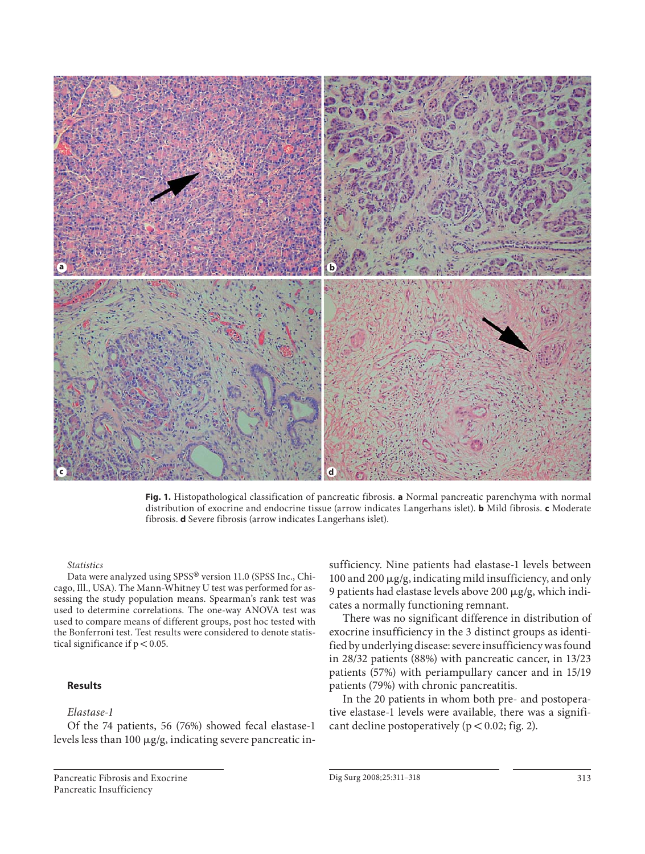

**Fig. 1.** Histopathological classification of pancreatic fibrosis. **a** Normal pancreatic parenchyma with normal distribution of exocrine and endocrine tissue (arrow indicates Langerhans islet). **b** Mild fibrosis. **c** Moderate fibrosis. **d** Severe fibrosis (arrow indicates Langerhans islet).

#### *Statistics*

Data were analyzed using SPSS® version 11.0 (SPSS Inc., Chicago, Ill., USA). The Mann-Whitney U test was performed for assessing the study population means. Spearman's rank test was used to determine correlations. The one-way ANOVA test was used to compare means of different groups, post hoc tested with the Bonferroni test. Test results were considered to denote statistical significance if  $p < 0.05$ .

# **Results**

## *Elastase-1*

 Of the 74 patients, 56 (76%) showed fecal elastase-1 levels less than  $100 \mu$ g/g, indicating severe pancreatic insufficiency. Nine patients had elastase-1 levels between 100 and 200  $\mu$ g/g, indicating mild insufficiency, and only 9 patients had elastase levels above 200  $\mu$ g/g, which indicates a normally functioning remnant.

 There was no significant difference in distribution of exocrine insufficiency in the 3 distinct groups as identified by underlying disease: severe insufficiency was found in 28/32 patients (88%) with pancreatic cancer, in 13/23 patients (57%) with periampullary cancer and in 15/19 patients (79%) with chronic pancreatitis.

 In the 20 patients in whom both pre- and postoperative elastase-1 levels were available, there was a significant decline postoperatively ( $p < 0.02$ ; fig. 2).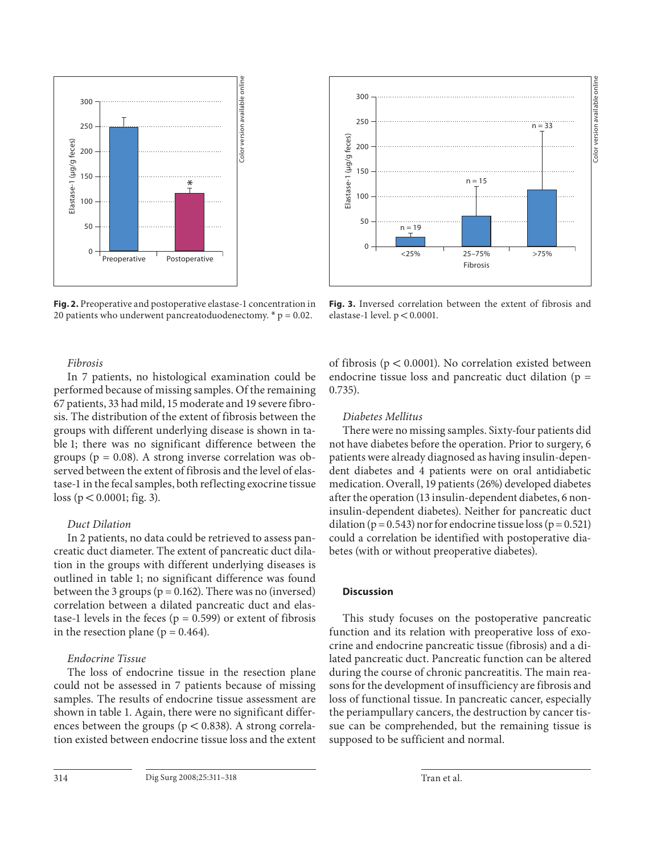

**Fig. 2.** Preoperative and postoperative elastase-1 concentration in 20 patients who underwent pancreatoduodenectomy.  $*$  p = 0.02.

# Color version available online version available onli  $250$  $n = 33$  $T$ Elastase-1 (µg/g feces) Elastase-1 (µg/g feces) 200  $i$  $T<sub>5</sub>$ 100  $n = 19$  $\Omega$ <25% 25–75% >75%

**Fig. 3.** Inversed correlation between the extent of fibrosis and elastase-1 level.  $p < 0.0001$ .

# *Fibrosis*

 In 7 patients, no histological examination could be performed because of missing samples. Of the remaining 67 patients, 33 had mild, 15 moderate and 19 severe fibrosis. The distribution of the extent of fibrosis between the groups with different underlying disease is shown in table 1; there was no significant difference between the groups ( $p = 0.08$ ). A strong inverse correlation was observed between the extent of fibrosis and the level of elastase-1 in the fecal samples, both reflecting exocrine tissue  $\cos (p < 0.0001; \text{fig. 3}).$ 

# *Duct Dilation*

 In 2 patients, no data could be retrieved to assess pancreatic duct diameter. The extent of pancreatic duct dilation in the groups with different underlying diseases is outlined in table 1; no significant difference was found between the 3 groups ( $p = 0.162$ ). There was no (inversed) correlation between a dilated pancreatic duct and elastase-1 levels in the feces ( $p = 0.599$ ) or extent of fibrosis in the resection plane ( $p = 0.464$ ).

## *Endocrine Tissue*

 The loss of endocrine tissue in the resection plane could not be assessed in 7 patients because of missing samples. The results of endocrine tissue assessment are shown in table 1. Again, there were no significant differences between the groups ( $p < 0.838$ ). A strong correlation existed between endocrine tissue loss and the extent of fibrosis ( $p < 0.0001$ ). No correlation existed between endocrine tissue loss and pancreatic duct dilation ( $p =$ 0.735).

## *Diabetes Mellitus*

 There were no missing samples. Sixty-four patients did not have diabetes before the operation. Prior to surgery, 6 patients were already diagnosed as having insulin-dependent diabetes and 4 patients were on oral antidiabetic medication. Overall, 19 patients (26%) developed diabetes after the operation (13 insulin-dependent diabetes, 6 noninsulin-dependent diabetes). Neither for pancreatic duct dilation ( $p = 0.543$ ) nor for endocrine tissue loss ( $p = 0.521$ ) could a correlation be identified with postoperative diabetes (with or without preoperative diabetes).

### **Discussion**

 This study focuses on the postoperative pancreatic function and its relation with preoperative loss of exocrine and endocrine pancreatic tissue (fibrosis) and a dilated pancreatic duct. Pancreatic function can be altered during the course of chronic pancreatitis. The main reasons for the development of insufficiency are fibrosis and loss of functional tissue. In pancreatic cancer, especially the periampullary cancers, the destruction by cancer tissue can be comprehended, but the remaining tissue is supposed to be sufficient and normal.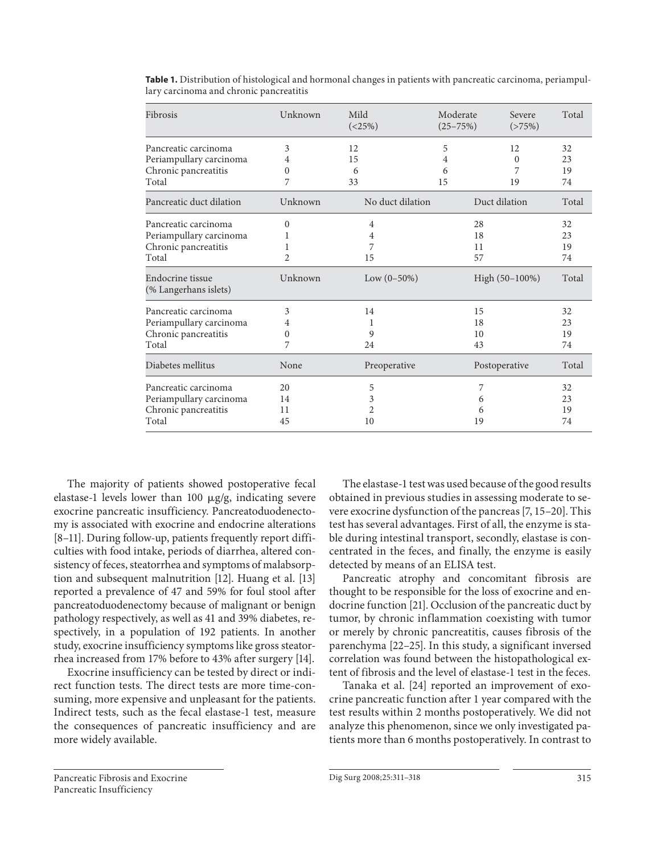| Fibrosis                                  | Unknown  | Mild<br>$(<25\%)$ | Moderate<br>$(25 - 75%)$ | Severe<br>(>75%) | Total |
|-------------------------------------------|----------|-------------------|--------------------------|------------------|-------|
| Pancreatic carcinoma                      | 3        | 12                | 5                        | 12               | 32    |
| Periampullary carcinoma                   | 4        | 15                | 4                        | $\Omega$         | 23    |
| Chronic pancreatitis                      | $\theta$ | 6                 | 6                        | 7                | 19    |
| Total                                     | 7        | 33                | 15                       | 19               | 74    |
| Pancreatic duct dilation                  | Unknown  | No duct dilation  |                          | Duct dilation    | Total |
| Pancreatic carcinoma                      | $\Omega$ | 4                 | 28                       |                  | 32    |
| Periampullary carcinoma                   | 1        | 4                 | 18                       |                  | 23    |
| Chronic pancreatitis                      | 1        | 7                 | 11                       |                  | 19    |
| Total                                     | 2        | 15                | 57                       |                  | 74    |
| Endocrine tissue<br>(% Langerhans islets) | Unknown  | Low $(0-50\%)$    |                          | High (50-100%)   | Total |
| Pancreatic carcinoma                      | 3        | 14                | 15                       |                  | 32    |
| Periampullary carcinoma                   | 4        | 1                 | 18                       |                  | 23    |
| Chronic pancreatitis                      | $\Omega$ | 9                 | 10                       |                  | 19    |
| Total                                     | 7        | 24                | 43                       |                  | 74    |
| Diabetes mellitus                         | None     | Preoperative      |                          | Postoperative    | Total |
| Pancreatic carcinoma                      | 20       | 5                 |                          | 7                | 32    |
| Periampullary carcinoma                   | 14       | 3                 |                          | 6                | 23    |
| Chronic pancreatitis                      | 11       | $\mathfrak{D}$    |                          | 6                | 19    |
| Total                                     | 45       | 10                | 19                       |                  | 74    |

**Table 1.** Distribution of histological and hormonal changes in patients with pancreatic carcinoma, periampullary carcinoma and chronic pancreatitis

 The majority of patients showed postoperative fecal elastase-1 levels lower than 100  $\mu$ g/g, indicating severe exocrine pancreatic insufficiency. Pancreatoduodenectomy is associated with exocrine and endocrine alterations [8-11]. During follow-up, patients frequently report difficulties with food intake, periods of diarrhea, altered consistency of feces, steatorrhea and symptoms of malabsorption and subsequent malnutrition [12]. Huang et al. [13] reported a prevalence of 47 and 59% for foul stool after pancreatoduodenectomy because of malignant or benign pathology respectively, as well as 41 and 39% diabetes, respectively, in a population of 192 patients. In another study, exocrine insufficiency symptoms like gross steatorrhea increased from 17% before to 43% after surgery [14] .

 Exocrine insufficiency can be tested by direct or indirect function tests. The direct tests are more time-consuming, more expensive and unpleasant for the patients. Indirect tests, such as the fecal elastase-1 test, measure the consequences of pancreatic insufficiency and are more widely available.

 The elastase-1 test was used because of the good results obtained in previous studies in assessing moderate to severe exocrine dysfunction of the pancreas [7, 15–20] . This test has several advantages. First of all, the enzyme is stable during intestinal transport, secondly, elastase is concentrated in the feces, and finally, the enzyme is easily detected by means of an ELISA test.

 Pancreatic atrophy and concomitant fibrosis are thought to be responsible for the loss of exocrine and endocrine function [21]. Occlusion of the pancreatic duct by tumor, by chronic inflammation coexisting with tumor or merely by chronic pancreatitis, causes fibrosis of the parenchyma [22-25]. In this study, a significant inversed correlation was found between the histopathological extent of fibrosis and the level of elastase-1 test in the feces.

 Tanaka et al. [24] reported an improvement of exocrine pancreatic function after 1 year compared with the test results within 2 months postoperatively. We did not analyze this phenomenon, since we only investigated patients more than 6 months postoperatively. In contrast to

 Pancreatic Fibrosis and Exocrine Pancreatic Insufficiency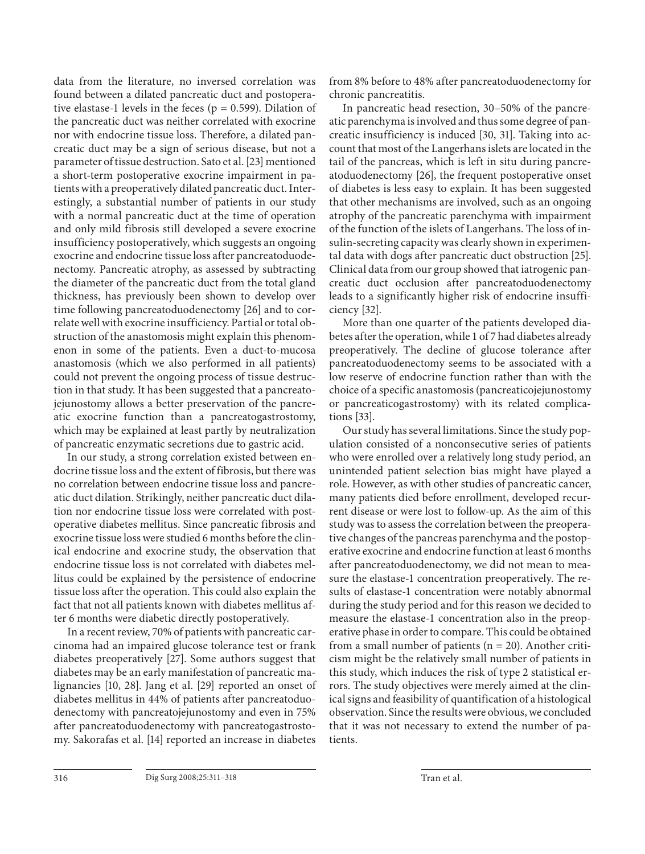data from the literature, no inversed correlation was found between a dilated pancreatic duct and postoperative elastase-1 levels in the feces ( $p = 0.599$ ). Dilation of the pancreatic duct was neither correlated with exocrine nor with endocrine tissue loss. Therefore, a dilated pancreatic duct may be a sign of serious disease, but not a parameter of tissue destruction. Sato et al. [23] mentioned a short-term postoperative exocrine impairment in patients with a preoperatively dilated pancreatic duct. Interestingly, a substantial number of patients in our study with a normal pancreatic duct at the time of operation and only mild fibrosis still developed a severe exocrine insufficiency postoperatively, which suggests an ongoing exocrine and endocrine tissue loss after pancreatoduodenectomy. Pancreatic atrophy, as assessed by subtracting the diameter of the pancreatic duct from the total gland thickness, has previously been shown to develop over time following pancreatoduodenectomy [26] and to correlate well with exocrine insufficiency. Partial or total obstruction of the anastomosis might explain this phenomenon in some of the patients. Even a duct-to-mucosa anastomosis (which we also performed in all patients) could not prevent the ongoing process of tissue destruction in that study. It has been suggested that a pancreatojejunostomy allows a better preservation of the pancreatic exocrine function than a pancreatogastrostomy, which may be explained at least partly by neutralization of pancreatic enzymatic secretions due to gastric acid.

 In our study, a strong correlation existed between endocrine tissue loss and the extent of fibrosis, but there was no correlation between endocrine tissue loss and pancreatic duct dilation. Strikingly, neither pancreatic duct dilation nor endocrine tissue loss were correlated with postoperative diabetes mellitus. Since pancreatic fibrosis and exocrine tissue loss were studied 6 months before the clinical endocrine and exocrine study, the observation that endocrine tissue loss is not correlated with diabetes mellitus could be explained by the persistence of endocrine tissue loss after the operation. This could also explain the fact that not all patients known with diabetes mellitus after 6 months were diabetic directly postoperatively.

 In a recent review, 70% of patients with pancreatic carcinoma had an impaired glucose tolerance test or frank diabetes preoperatively [27]. Some authors suggest that diabetes may be an early manifestation of pancreatic malignancies [10, 28]. Jang et al. [29] reported an onset of diabetes mellitus in 44% of patients after pancreatoduodenectomy with pancreatojejunostomy and even in 75% after pancreatoduodenectomy with pancreatogastrostomy. Sakorafas et al. [14] reported an increase in diabetes from 8% before to 48% after pancreatoduodenectomy for chronic pancreatitis.

 In pancreatic head resection, 30–50% of the pancreatic parenchyma is involved and thus some degree of pancreatic insufficiency is induced [30, 31]. Taking into account that most of the Langerhans islets are located in the tail of the pancreas, which is left in situ during pancreatoduodenectomy [26], the frequent postoperative onset of diabetes is less easy to explain. It has been suggested that other mechanisms are involved, such as an ongoing atrophy of the pancreatic parenchyma with impairment of the function of the islets of Langerhans. The loss of insulin-secreting capacity was clearly shown in experimental data with dogs after pancreatic duct obstruction [25] . Clinical data from our group showed that iatrogenic pancreatic duct occlusion after pancreatoduodenectomy leads to a significantly higher risk of endocrine insufficiency [32].

 More than one quarter of the patients developed diabetes after the operation, while 1 of 7 had diabetes already preoperatively. The decline of glucose tolerance after pancreatoduodenectomy seems to be associated with a low reserve of endocrine function rather than with the choice of a specific anastomosis (pancreaticojejunostomy or pancreaticogastrostomy) with its related complications [33].

 Our study has several limitations. Since the study population consisted of a nonconsecutive series of patients who were enrolled over a relatively long study period, an unintended patient selection bias might have played a role. However, as with other studies of pancreatic cancer, many patients died before enrollment, developed recurrent disease or were lost to follow-up. As the aim of this study was to assess the correlation between the preoperative changes of the pancreas parenchyma and the postoperative exocrine and endocrine function at least 6 months after pancreatoduodenectomy, we did not mean to measure the elastase-1 concentration preoperatively. The results of elastase-1 concentration were notably abnormal during the study period and for this reason we decided to measure the elastase-1 concentration also in the preoperative phase in order to compare. This could be obtained from a small number of patients ( $n = 20$ ). Another criticism might be the relatively small number of patients in this study, which induces the risk of type 2 statistical errors. The study objectives were merely aimed at the clinical signs and feasibility of quantification of a histological observation. Since the results were obvious, we concluded that it was not necessary to extend the number of patients.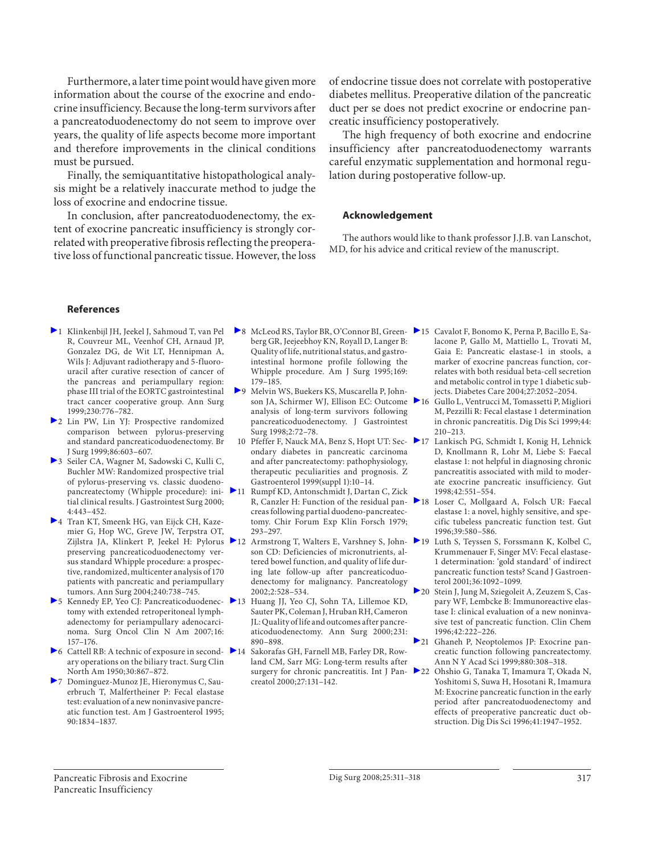Furthermore, a later time point would have given more information about the course of the exocrine and endocrine insufficiency. Because the long-term survivors after a pancreatoduodenectomy do not seem to improve over years, the quality of life aspects become more important and therefore improvements in the clinical conditions must be pursued.

 Finally, the semiquantitative histopathological analysis might be a relatively inaccurate method to judge the loss of exocrine and endocrine tissue.

 In conclusion, after pancreatoduodenectomy, the extent of exocrine pancreatic insufficiency is strongly correlated with preoperative fibrosis reflecting the preoperative loss of functional pancreatic tissue. However, the loss of endocrine tissue does not correlate with postoperative diabetes mellitus. Preoperative dilation of the pancreatic duct per se does not predict exocrine or endocrine pancreatic insufficiency postoperatively.

 The high frequency of both exocrine and endocrine insufficiency after pancreatoduodenectomy warrants careful enzymatic supplementation and hormonal regulation during postoperative follow-up.

#### **Acknowledgement**

 The authors would like to thank professor J.J.B. van Lanschot, MD, for his advice and critical review of the manuscript.

#### **References**

- 1 Klinkenbijl JH, Jeekel J, Sahmoud T, van Pel R, Couvreur ML, Veenhof CH, Arnaud JP, Gonzalez DG, de Wit LT, Hennipman A, Wils J: Adjuvant radiotherapy and 5-fluorouracil after curative resection of cancer of the pancreas and periampullary region: phase III trial of the EORTC gastrointestinal tract cancer cooperative group. Ann Surg 1999;230:776–782.
- 2 Lin PW, Lin YJ: Prospective randomized comparison between pylorus-preserving and standard pancreaticoduodenectomy. Br J Surg 1999;86:603–607.
- 3 Seiler CA, Wagner M, Sadowski C, Kulli C, Buchler MW: Randomized prospective trial of pylorus-preserving vs. classic duodenotial clinical results. J Gastrointest Surg 2000; 4:443–452.
- 4 Tran KT, Smeenk HG, van Eijck CH, Kazemier G, Hop WC, Greve JW, Terpstra OT, preserving pancreaticoduodenectomy versus standard Whipple procedure: a prospective, randomized, multicenter analysis of 170 patients with pancreatic and periampullary tumors. Ann Surg 2004;240:738–745.
- <sup>1</sup>5 Kennedy EP, Yeo CJ: Pancreaticoduodenec-<sup>1</sup>3 tomy with extended retroperitoneal lymphadenectomy for periampullary adenocarcinoma. Surg Oncol Clin N Am 2007; 16: 157–176.
- ▶ 6 Cattell RB: A technic of exposure in second- ▶ 14 ary operations on the biliary tract. Surg Clin North Am 1950;30:867–872.
- 7 Dominguez-Munoz JE, Hieronymus C, Sauerbruch T, Malfertheiner P: Fecal elastase test: evaluation of a new noninvasive pancreatic function test. Am J Gastroenterol 1995; 90:1834–1837.
- 8 McLeod RS, Taylor BR, O'Connor BI, Green- 15 Cavalot F, Bonomo K, Perna P, Bacillo E, Saberg GR, Jeejeebhoy KN, Royall D, Langer B: Quality of life, nutritional status, and gastrointestinal hormone profile following the Whipple procedure. Am J Surg 1995;169: 179–185.
- 9 Melvin WS, Buekers KS, Muscarella P, Johnanalysis of long-term survivors following pancreaticoduodenectomy. J Gastrointest Surg 1998;2:72–78.
- 10 Pfeffer F, Nauck MA, Benz S, Hopt UT: Sec- 217 ondary diabetes in pancreatic carcinoma and after pancreatectomy: pathophysiology, therapeutic peculiarities and prognosis. Z Gastroenterol 1999(suppl 1):10–14.
- pancreatectomy (Whipple procedure): ini- 11 Rumpf KD, Antonschmidt J, Dartan C, Zick R, Canzler H: Function of the residual pan- $\geq 18$ creas following partial duodeno-pancreatectomy. Chir Forum Exp Klin Forsch 1979; 293–297.
- Zijlstra JA, Klinkert P, Jeekel H: Pylorus 12 Armstrong T, Walters E, Varshney S, John- 19 Luth S, Teyssen S, Forssmann K, Kolbel C, son CD: Deficiencies of micronutrients, altered bowel function, and quality of life during late follow-up after pancreaticoduodenectomy for malignancy. Pancreatology 2002;2:528–534.
	- Huang JJ, Yeo CJ, Sohn TA, Lillemoe KD, Sauter PK, Coleman J, Hruban RH, Cameron JL: Quality of life and outcomes after pancreaticoduodenectomy. Ann Surg 2000; 231: 890–898.
	- Sakorafas GH, Farnell MB, Farley DR, Rowland CM, Sarr MG: Long-term results after surgery for chronic pancreatitis. Int J Pan- $\geq 22$ creatol 2000;27:131–142.
- lacone P, Gallo M, Mattiello L, Trovati M, Gaia E: Pancreatic elastase-1 in stools, a marker of exocrine pancreas function, correlates with both residual beta-cell secretion and metabolic control in type 1 diabetic subjects. Diabetes Care 2004;27:2052–2054.
- son JA, Schirmer WJ, Ellison EC: Outcome 16 Gullo L, Ventrucci M, Tomassetti P, Migliori M, Pezzilli R: Fecal elastase 1 determination in chronic pancreatitis. Dig Dis Sci 1999;44: 210–213.
	- Lankisch PG, Schmidt I, Konig H, Lehnick D, Knollmann R, Lohr M, Liebe S: Faecal elastase 1: not helpful in diagnosing chronic pancreatitis associated with mild to moderate exocrine pancreatic insufficiency. Gut 1998;42:551–554.
	- Loser C, Mollgaard A, Folsch UR: Faecal elastase 1: a novel, highly sensitive, and specific tubeless pancreatic function test. Gut 1996;39:580–586.
	- Krummenauer F, Singer MV: Fecal elastase-1 determination: 'gold standard' of indirect pancreatic function tests? Scand J Gastroenterol 2001;36:1092–1099.
	- 20 Stein J, Jung M, Sziegoleit A, Zeuzem S, Caspary WF, Lembcke B: Immunoreactive elastase I: clinical evaluation of a new noninvasive test of pancreatic function. Clin Chem 1996;42:222–226.
	- 21 Ghaneh P, Neoptolemos JP: Exocrine pancreatic function following pancreatectomy. Ann N Y Acad Sci 1999;880:308–318.
		- 22 Ohshio G, Tanaka T, Imamura T, Okada N, Yoshitomi S, Suwa H, Hosotani R, Imamura M: Exocrine pancreatic function in the early period after pancreatoduodenectomy and effects of preoperative pancreatic duct obstruction. Dig Dis Sci 1996;41:1947–1952.